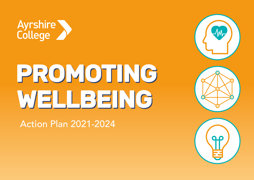

# PROMOTING WELLBEING

Action Plan 2021-2024





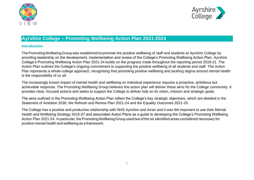



# **Ayrshire College – Promoting Wellbeing Action Plan 2021-2024**

### **Introduction**

The Promoting Wellbeing Group was established to promote the positive wellbeing of staff and students at Ayrshire College by providing leadership on the development, implementation and review of the College's Promoting Wellbeing Action Plan. Ayrshire College's Promoting Wellbeing Action Plan 2021-24 builds on the progress made throughout the reporting period 2018-21. The Action Plan outlines the College's ongoing commitment to supporting the positive wellbeing of all students and staff. The Action Plan represents a whole-college approach, recognising that promoting positive wellbeing and tackling stigma around mental health is the responsibility of us all.

The increasingly known impact of mental health and wellbeing on individual experience requires a proactive, ambitious but achievable response. The Promoting Wellbeing Group believes this action plan will deliver these aims for the College community. It provides clear, focused actions and seeks to support the College to deliver fully on its vision, mission and strategic goals.

The aims outlined in the Promoting Wellbeing Action Plan reflect the College's key strategic objectives, which are detailed in the Statement of Ambition 2030, the Refresh and Renew Plan 2021-24 and the Equality Outcomes 2021-25.

The College has a positive and productive relationship with NHS Ayrshire and Arran and it was felt important to use their Mental Health and Wellbeing Strategy 2015-27 and associated Action Plans as a guide to developing the College's Promoting Wellbeing Action Plan 2021-24. In particular, the Promoting Wellbeing Group used two of the six identified areas considered necessary for positive mental health and wellbeing as a framework.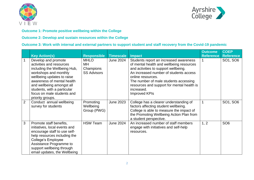



### **Outcome 1: Promote positive wellbeing within the College**

### **Outcome 2: Develop and sustain resources within the College**

## **Outcome 3: Work with internal and external partners to support student and staff recovery from the Covid-19 pandemic**

|   |                                                                                                                                                                                                                                                                                    |                                                      |                  |                                                                                                                                                                                                                                                                                                                        | <b>Outcome</b>   | <b>COEP</b>      |
|---|------------------------------------------------------------------------------------------------------------------------------------------------------------------------------------------------------------------------------------------------------------------------------------|------------------------------------------------------|------------------|------------------------------------------------------------------------------------------------------------------------------------------------------------------------------------------------------------------------------------------------------------------------------------------------------------------------|------------------|------------------|
|   | <b>Key Action(s)</b>                                                                                                                                                                                                                                                               | <b>Responsible</b>                                   | <b>Timescale</b> | <b>Impact</b>                                                                                                                                                                                                                                                                                                          | <b>Reference</b> | <b>Reference</b> |
|   | Develop and promote<br>activities and resources<br>including the Wellbeing Hub,<br>workshops and monthly<br>wellbeing updates to raise<br>awareness of mental health<br>and wellbeing amongst all<br>students, with a particular<br>focus on male students and<br>priority groups. | <b>MHLO</b><br>MН<br>Champions<br><b>SS Advisors</b> | June 2024        | Students report an increased awareness<br>of mental health and wellbeing resources<br>and activities to support wellbeing.<br>An increased number of students access<br>online resources.<br>The number of male students accessing<br>resources and support for mental health is<br>increased.<br><b>Improved KPIs</b> |                  | SO1, SO6         |
| 2 | Conduct annual wellbeing<br>survey for students                                                                                                                                                                                                                                    | Promoting<br>Wellbeing<br>Group (PWG)                | <b>June 2023</b> | College has a clearer understanding of<br>factors affecting student wellbeing.<br>College is able to measure the impact of<br>the Promoting Wellbeing Action Plan from<br>a student perspective.                                                                                                                       | 1                | SO1, SO6         |
| 3 | Promote staff benefits,<br>initiatives, local events and<br>encourage staff to use self-<br>help resources including the<br>College's Employee<br>Assistance Programme to<br>support wellbeing through<br>email updates, the Wellbeing                                             | <b>HSW Team</b>                                      | <b>June 2024</b> | An increased number of staff members<br>engage with initiatives and self-help<br>resources.                                                                                                                                                                                                                            | 1, 2             | SO <sub>6</sub>  |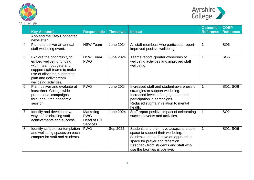



|   | v v<br><b>Key Action(s)</b>                                                                                                                                                                      | <b>Responsible</b>                                       | <b>Timescale</b> | <b>Impact</b>                                                                                                                                                                                                                           | <b>Outcome</b><br><b>Reference</b> | <b>COEP</b><br><b>Reference</b> |
|---|--------------------------------------------------------------------------------------------------------------------------------------------------------------------------------------------------|----------------------------------------------------------|------------------|-----------------------------------------------------------------------------------------------------------------------------------------------------------------------------------------------------------------------------------------|------------------------------------|---------------------------------|
|   | App and the Stay Connected<br>newsletter                                                                                                                                                         |                                                          |                  |                                                                                                                                                                                                                                         |                                    |                                 |
| 4 | Plan and deliver an annual<br>staff wellbeing event.                                                                                                                                             | <b>HSW Team</b>                                          | <b>June 2024</b> | All staff members who participate report<br>improved positive wellbeing.                                                                                                                                                                | $\mathbf 1$                        | SO <sub>6</sub>                 |
| 5 | Explore the opportunity to<br>embed wellbeing funding<br>within team budgets and<br>support staff teams to make<br>use of allocated budgets to<br>plan and deliver team<br>wellbeing activities. | <b>HSW Team</b><br><b>PWG</b>                            | <b>June 2024</b> | Teams report greater ownership of<br>wellbeing activities and improved staff<br>wellbeing.                                                                                                                                              | 1                                  | SO <sub>6</sub>                 |
| 6 | Plan, deliver and evaluate at<br>least three College wide<br>promotional campaigns<br>throughout the academic<br>session.                                                                        | <b>PWG</b>                                               | <b>June 2024</b> | Increased staff and student awareness of<br>strategies to support wellbeing.<br>Increased levels of engagement and<br>participation in campaigns.<br>Reduced stigma in relation to mental<br>health.                                    | $\mathbf 1$                        | SO1, SO6                        |
| 7 | Identify and develop new<br>ways of celebrating staff<br>achievements and success.                                                                                                               | Marketing<br><b>PWG</b><br>Head of HR<br><b>Services</b> | <b>June 2024</b> | Staff report positive impact of celebrating<br>success events and activities.                                                                                                                                                           | 1                                  | SO <sub>2</sub>                 |
| 8 | Identify suitable contemplation<br>and wellbeing spaces on each<br>campus for staff and students.                                                                                                | <b>PWG</b>                                               | Sep 2022         | Students and staff have access to a quiet<br>space to support their wellbeing.<br>Students and staff have an appropriate<br>space for prayer and reflection.<br>Feedback from students and staff who<br>use the facilities is positive. | 1                                  | SO1, SO6                        |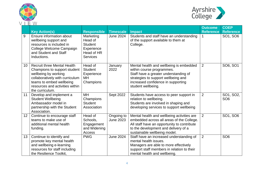



|    | <b>Key Action(s)</b>                                                                                                                                                                                            | <b>Responsible</b>                                                                    | <b>Timescale</b>               | <b>Impact</b>                                                                                                                                                                                                    | <b>Outcome</b><br><b>Reference</b> | <b>COEP</b><br><b>Reference</b> |
|----|-----------------------------------------------------------------------------------------------------------------------------------------------------------------------------------------------------------------|---------------------------------------------------------------------------------------|--------------------------------|------------------------------------------------------------------------------------------------------------------------------------------------------------------------------------------------------------------|------------------------------------|---------------------------------|
| 9  | Ensure information about<br>wellbeing support and<br>resources is included in<br>College Welcome Campaign<br>and Student and Staff<br>Inductions.                                                               | Marketing<br>Head of<br><b>Student</b><br>Experience<br>Head of HR<br><b>Services</b> | <b>June 2024</b>               | Students and staff have an understanding<br>of the support available to them at<br>College.                                                                                                                      |                                    | SO1, SO6                        |
| 10 | <b>Recruit three Mental Health</b><br>Champions to support student<br>wellbeing by working<br>collaboratively with curriculum<br>teams to embed wellbeing<br>resources and activities within<br>the curriculum. | Head of<br><b>Student</b><br>Experience<br><b>MH</b><br>Champions                     | January<br>2022                | Mental health and wellbeing is embedded<br>within course programmes.<br>Staff have a greater understanding of<br>strategies to support wellbeing and<br>increased confidence in supporting<br>student wellbeing. | $\overline{2}$                     | SO6, SO1                        |
| 11 | Develop and implement a<br><b>Student Wellbeing</b><br>Ambassador model in<br>partnership with the Student<br>Association.                                                                                      | <b>MH</b><br>Champions<br><b>Student</b><br>Association                               | Sept 2022                      | Students have access to peer support in<br>relation to wellbeing.<br>Students are involved in shaping and<br>developing services to support wellbeing                                                            | $\overline{2}$                     | SO1, SO2,<br>SO <sub>6</sub>    |
| 12 | Continue to encourage staff<br>teams to make use of<br>additional mental health<br>funding.                                                                                                                     | Head of<br>Schools,<br>Engagement<br>and Widening<br>Access                           | Ongoing to<br><b>June 2023</b> | Mental health and wellbeing activities are<br>embedded across all areas of the College.<br>All staff have an opportunity to contribute<br>to the development and delivery of a<br>sustainable wellbeing model.   | $\overline{2}$                     | SO1, SO6                        |
| 13 | Continue to identify and<br>promote key mental health<br>and wellbeing e-learning<br>resources for staff including<br>the Resilience Toolkit,                                                                   | <b>PWG</b>                                                                            | <b>June 2024</b>               | Staff have an increased understanding of<br>mental health issues.<br>Managers are able to more effectively<br>support staff members in relation to their<br>mental health and wellbeing.                         | $\overline{2}$                     | SO <sub>6</sub>                 |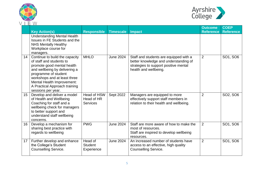



|                 | <b>Key Action(s)</b>                                                                                                                                                                                                                                                   | <b>Responsible</b>                                  | <b>Timescale</b> | <b>Impact</b>                                                                                                                                     | <b>Outcome</b><br><b>Reference</b> | <b>COEP</b><br><b>Reference</b> |
|-----------------|------------------------------------------------------------------------------------------------------------------------------------------------------------------------------------------------------------------------------------------------------------------------|-----------------------------------------------------|------------------|---------------------------------------------------------------------------------------------------------------------------------------------------|------------------------------------|---------------------------------|
|                 | <b>Understanding Mental Health</b><br>Issues in FE Students and the<br><b>NHS Mentally Healthy</b><br>Workplace course for<br>managers.                                                                                                                                |                                                     |                  |                                                                                                                                                   |                                    |                                 |
| 14              | Continue to build the capacity<br>of staff and students to<br>promote good mental health<br>and wellbeing by delivering a<br>programme of student<br>workshops and at least three<br>Mental Health Improvement:<br>A Practical Approach training<br>sessions per year. | <b>MHLO</b>                                         | <b>June 2024</b> | Staff and students are equipped with a<br>better knowledge and understanding of<br>strategies to support positive mental<br>health and wellbeing. | $\overline{2}$                     | SO1, SO6                        |
| 15 <sub>1</sub> | Develop and deliver a model<br>of Health and Wellbeing<br>Coaching for staff and a<br>wellbeing check for managers<br>to better support and<br>understand staff wellbeing<br>concerns.                                                                                 | <b>Head of HSW</b><br>Head of HR<br><b>Services</b> | Sept 2022        | Managers are equipped to more<br>effectively support staff members in<br>relation to their health and wellbeing.                                  | $\overline{2}$                     | SO2, SO6                        |
| 16              | Develop a mechanism for<br>sharing best practice with<br>regards to wellbeing                                                                                                                                                                                          | <b>PWG</b>                                          | <b>June 2024</b> | Staff are more aware of how to make the<br>most of resources.<br>Staff are inspired to develop wellbeing<br>resources.                            | $\overline{2}$                     | SO1, SO6                        |
| 17 <sup>2</sup> | Further develop and enhance<br>the College's Student<br><b>Counselling Service.</b>                                                                                                                                                                                    | Head of<br><b>Student</b><br>Experience             | <b>June 2024</b> | An increased number of students have<br>access to an effective, high quality<br><b>Counselling Service.</b>                                       | $\overline{2}$                     | SO1, SO6                        |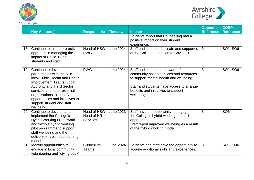



|    | v v                                                                                                                                                                                                                                                                                             |                                              |                  |                                                                                                                                                                                                                        |                                    | <b>COEP</b>      |
|----|-------------------------------------------------------------------------------------------------------------------------------------------------------------------------------------------------------------------------------------------------------------------------------------------------|----------------------------------------------|------------------|------------------------------------------------------------------------------------------------------------------------------------------------------------------------------------------------------------------------|------------------------------------|------------------|
|    | <b>Key Action(s)</b>                                                                                                                                                                                                                                                                            | <b>Responsible</b>                           | <b>Timescale</b> | <b>Impact</b>                                                                                                                                                                                                          | <b>Outcome</b><br><b>Reference</b> | <b>Reference</b> |
|    |                                                                                                                                                                                                                                                                                                 |                                              |                  | Students report that Counselling had a<br>positive impact on their student<br>experience.                                                                                                                              |                                    |                  |
| 18 | Continue to take a pro-active<br>approach in managing the<br>impact of Covid-19 on<br>students and staff.                                                                                                                                                                                       | Head of HSW<br><b>PWG</b>                    | <b>June 2024</b> | Staff and students feel safe and supported<br>at the College in relation to Covid-19.                                                                                                                                  | 3                                  | SO1, SO6         |
| 19 | Continue to develop<br>partnerships with the NHS,<br>local Public Health and Health<br>Improvement Teams, Local<br><b>Authority and Third Sector</b><br>services and other external<br>organisations to identify<br>opportunities and initiatives to<br>support student and staff<br>wellbeing. | <b>PWG</b>                                   | <b>June 2024</b> | Staff and students are aware of<br>community based services and resources<br>to support mental health and wellbeing.<br>Staff and students have access to a range<br>benefits and initiatives to support<br>wellbeing. | 3                                  | SO1, SO6         |
| 20 | Continue to develop and<br>implement the College's<br><b>Hybrid Working Framework</b><br>and flexible hybrid working<br>pilot programme to support<br>staff wellbeing and the<br>delivery of a blended learning<br>model.                                                                       | Head of HSW<br>Head of HR<br><b>Services</b> | <b>June 2023</b> | Staff have the opportunity to engage in<br>the College's hybrid working model if<br>appropriate.<br>Staff report improved wellbeing as a result<br>of the hybrid working model.                                        | 3                                  | SO <sub>6</sub>  |
| 21 | Identify opportunities to<br>engage in local community<br>volunteering and "giving back"                                                                                                                                                                                                        | Curriculum<br>Teams                          | <b>June 2024</b> | Students and staff have the opportunity to<br>acquire additional skills and experiences.                                                                                                                               | 3                                  | SO1, SO6         |